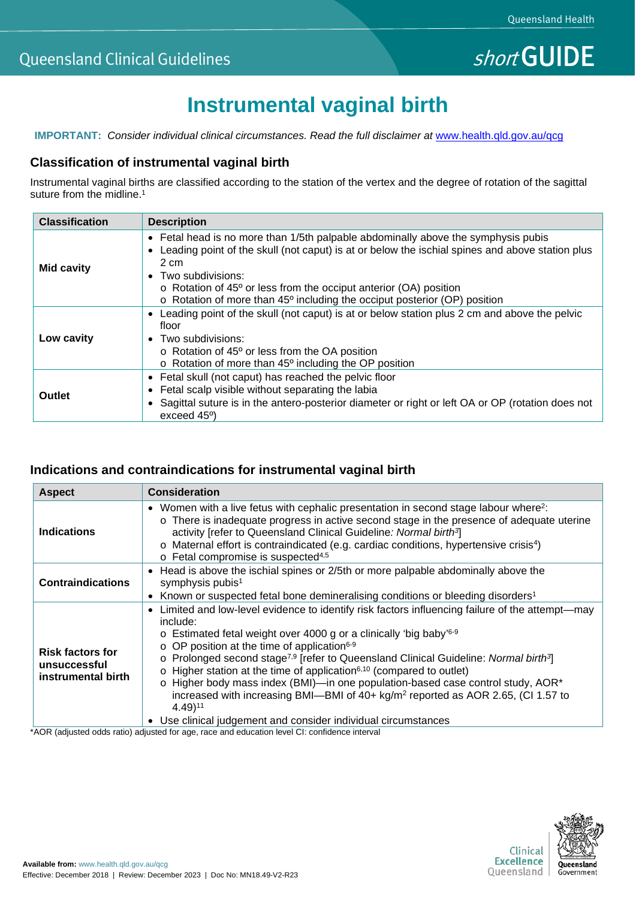# **Instrumental vaginal birth**

**IMPORTANT:** *Consider individual clinical circumstances. Read the full disclaimer at [www.health.qld.gov.au/qcg](http://www.health.qld.gov.au/qcg)* 

### **Classification of instrumental vaginal birth**

Instrumental vaginal births are classified according to the station of the vertex and the degree of rotation of the sagittal suture from the midline.<sup>1</sup>

| <b>Classification</b> | <b>Description</b>                                                                                                                                                                                                                                                                                                                                                                                         |
|-----------------------|------------------------------------------------------------------------------------------------------------------------------------------------------------------------------------------------------------------------------------------------------------------------------------------------------------------------------------------------------------------------------------------------------------|
| <b>Mid cavity</b>     | • Fetal head is no more than 1/5th palpable abdominally above the symphysis pubis<br>Leading point of the skull (not caput) is at or below the ischial spines and above station plus<br>$\bullet$<br>2 cm<br>Two subdivisions:<br>$\bullet$<br>$\circ$ Rotation of 45 $\circ$ or less from the occiput anterior (OA) position<br>o Rotation of more than 45° including the occiput posterior (OP) position |
| Low cavity            | Leading point of the skull (not caput) is at or below station plus 2 cm and above the pelvic<br>$\bullet$<br>floor<br>• Two subdivisions:<br>$\circ$ Rotation of 45 $\circ$ or less from the OA position<br>$\circ$ Rotation of more than 45 $\circ$ including the OP position                                                                                                                             |
| <b>Outlet</b>         | • Fetal skull (not caput) has reached the pelvic floor<br>Fetal scalp visible without separating the labia<br>$\bullet$<br>• Sagittal suture is in the antero-posterior diameter or right or left OA or OP (rotation does not<br>exceed 45 <sup>o</sup> )                                                                                                                                                  |

## **Indications and contraindications for instrumental vaginal birth**

| <b>Aspect</b>                                                 | <b>Consideration</b>                                                                                                                                                                                                                                                                                                                                                                                                                                                                                                                                                                                                                                                                                                                                                             |
|---------------------------------------------------------------|----------------------------------------------------------------------------------------------------------------------------------------------------------------------------------------------------------------------------------------------------------------------------------------------------------------------------------------------------------------------------------------------------------------------------------------------------------------------------------------------------------------------------------------------------------------------------------------------------------------------------------------------------------------------------------------------------------------------------------------------------------------------------------|
| <b>Indications</b>                                            | Women with a live fetus with cephalic presentation in second stage labour where <sup>2</sup> :<br>$\bullet$<br>o There is inadequate progress in active second stage in the presence of adequate uterine<br>activity [refer to Queensland Clinical Guideline: Normal birth <sup>3</sup> ]<br>o Maternal effort is contraindicated (e.g. cardiac conditions, hypertensive crisis <sup>4</sup> )<br>$\circ$ Fetal compromise is suspected <sup>4,5</sup>                                                                                                                                                                                                                                                                                                                           |
| <b>Contraindications</b>                                      | Head is above the ischial spines or 2/5th or more palpable abdominally above the<br>$\bullet$<br>symphysis pubis <sup>1</sup><br>Known or suspected fetal bone demineralising conditions or bleeding disorders <sup>1</sup><br>$\bullet$                                                                                                                                                                                                                                                                                                                                                                                                                                                                                                                                         |
| <b>Risk factors for</b><br>unsuccessful<br>instrumental birth | Limited and low-level evidence to identify risk factors influencing failure of the attempt—may<br>$\bullet$<br>include:<br>$\circ$ Estimated fetal weight over 4000 g or a clinically 'big baby' <sup>6-9</sup><br>$\circ$ OP position at the time of application <sup>6-9</sup><br>o Prolonged second stage <sup>7,9</sup> [refer to Queensland Clinical Guideline: Normal birth <sup>3</sup> ]<br>$\circ$ Higher station at the time of application <sup>6,10</sup> (compared to outlet)<br>o Higher body mass index (BMI)—in one population-based case control study, AOR*<br>increased with increasing BMI-BMI of $40+ \text{kg/m}^2$ reported as AOR 2.65, (CI 1.57 to<br>$4.49$ <sup>11</sup><br>Use clinical judgement and consider individual circumstances<br>$\bullet$ |

\*AOR (adjusted odds ratio) adjusted for age, race and education level CI: confidence interval

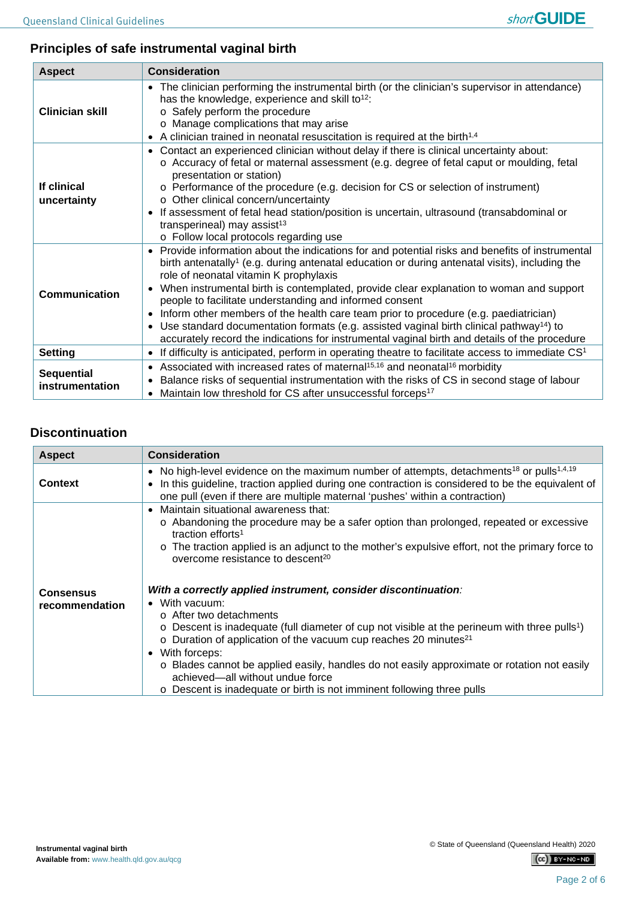

# **Principles of safe instrumental vaginal birth**

| <b>Aspect</b>                        | <b>Consideration</b>                                                                                                                                                                                                                                                                                                                                                                                                                                                                                                                                                                                                                                                                                                                                             |
|--------------------------------------|------------------------------------------------------------------------------------------------------------------------------------------------------------------------------------------------------------------------------------------------------------------------------------------------------------------------------------------------------------------------------------------------------------------------------------------------------------------------------------------------------------------------------------------------------------------------------------------------------------------------------------------------------------------------------------------------------------------------------------------------------------------|
| <b>Clinician skill</b>               | The clinician performing the instrumental birth (or the clinician's supervisor in attendance)<br>$\bullet$<br>has the knowledge, experience and skill to <sup>12</sup> :<br>o Safely perform the procedure<br>o Manage complications that may arise<br>A clinician trained in neonatal resuscitation is required at the birth <sup>1,4</sup><br>$\bullet$                                                                                                                                                                                                                                                                                                                                                                                                        |
| If clinical<br>uncertainty           | Contact an experienced clinician without delay if there is clinical uncertainty about:<br>$\bullet$<br>○ Accuracy of fetal or maternal assessment (e.g. degree of fetal caput or moulding, fetal<br>presentation or station)<br>$\circ$ Performance of the procedure (e.g. decision for CS or selection of instrument)<br>o Other clinical concern/uncertainty<br>If assessment of fetal head station/position is uncertain, ultrasound (transabdominal or<br>$\bullet$<br>transperineal) may assist <sup>13</sup><br>o Follow local protocols regarding use                                                                                                                                                                                                     |
| Communication                        | Provide information about the indications for and potential risks and benefits of instrumental<br>$\bullet$<br>birth antenatally <sup>1</sup> (e.g. during antenatal education or during antenatal visits), including the<br>role of neonatal vitamin K prophylaxis<br>When instrumental birth is contemplated, provide clear explanation to woman and support<br>$\bullet$<br>people to facilitate understanding and informed consent<br>Inform other members of the health care team prior to procedure (e.g. paediatrician)<br>$\bullet$<br>Use standard documentation formats (e.g. assisted vaginal birth clinical pathway <sup>14</sup> ) to<br>$\bullet$<br>accurately record the indications for instrumental vaginal birth and details of the procedure |
| <b>Setting</b>                       | If difficulty is anticipated, perform in operating theatre to facilitate access to immediate CS <sup>1</sup><br>$\bullet$                                                                                                                                                                                                                                                                                                                                                                                                                                                                                                                                                                                                                                        |
| <b>Sequential</b><br>instrumentation | Associated with increased rates of maternal <sup>15,16</sup> and neonatal <sup>16</sup> morbidity<br>$\bullet$<br>Balance risks of sequential instrumentation with the risks of CS in second stage of labour<br>$\bullet$<br>Maintain low threshold for CS after unsuccessful forceps <sup>17</sup><br>$\bullet$                                                                                                                                                                                                                                                                                                                                                                                                                                                 |

# **Discontinuation**

| <b>Aspect</b>    | <b>Consideration</b>                                                                                                                                                                                                                                                                                                                                                                                                                                                                                           |
|------------------|----------------------------------------------------------------------------------------------------------------------------------------------------------------------------------------------------------------------------------------------------------------------------------------------------------------------------------------------------------------------------------------------------------------------------------------------------------------------------------------------------------------|
| <b>Context</b>   | • No high-level evidence on the maximum number of attempts, detachments <sup>18</sup> or pulls <sup>1,4,19</sup><br>In this guideline, traction applied during one contraction is considered to be the equivalent of<br>$\bullet$<br>one pull (even if there are multiple maternal 'pushes' within a contraction)                                                                                                                                                                                              |
| <b>Consensus</b> | Maintain situational awareness that:<br>$\bullet$<br>o Abandoning the procedure may be a safer option than prolonged, repeated or excessive<br>traction efforts <sup>1</sup><br>$\circ$ The traction applied is an adjunct to the mother's expulsive effort, not the primary force to<br>overcome resistance to descent <sup>20</sup><br>With a correctly applied instrument, consider discontinuation:                                                                                                        |
| recommendation   | With vacuum:<br>$\bullet$<br>$\circ$ After two detachments<br>$\circ$ Descent is inadequate (full diameter of cup not visible at the perineum with three pulls <sup>1</sup> )<br>$\circ$ Duration of application of the vacuum cup reaches 20 minutes <sup>21</sup><br>With forceps:<br>$\bullet$<br>o Blades cannot be applied easily, handles do not easily approximate or rotation not easily<br>achieved-all without undue force<br>o Descent is inadequate or birth is not imminent following three pulls |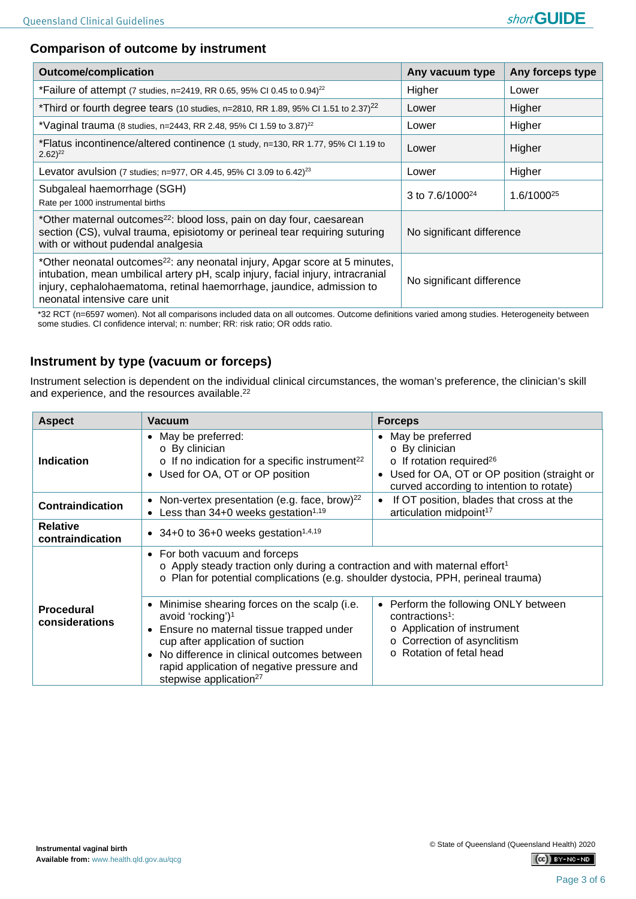# **Comparison of outcome by instrument**

| <b>Outcome/complication</b>                                                                                                                                                                                                                                                                                      | Any vacuum type           | Any forceps type       |
|------------------------------------------------------------------------------------------------------------------------------------------------------------------------------------------------------------------------------------------------------------------------------------------------------------------|---------------------------|------------------------|
| *Failure of attempt (7 studies, n=2419, RR 0.65, 95% CI 0.45 to 0.94) <sup>22</sup>                                                                                                                                                                                                                              | Higher                    | Lower                  |
| *Third or fourth degree tears (10 studies, n=2810, RR 1.89, 95% CI 1.51 to 2.37) <sup>22</sup>                                                                                                                                                                                                                   | Lower                     | Higher                 |
| *Vaginal trauma (8 studies, n=2443, RR 2.48, 95% CI 1.59 to 3.87) <sup>22</sup>                                                                                                                                                                                                                                  | Lower                     | Higher                 |
| *Flatus incontinence/altered continence (1 study, n=130, RR 1.77, 95% CI 1.19 to<br>$2.62)^{22}$                                                                                                                                                                                                                 | Lower                     | Higher                 |
| Levator avulsion (7 studies; n=977, OR 4.45, 95% CI 3.09 to 6.42) <sup>23</sup>                                                                                                                                                                                                                                  | Lower                     | Higher                 |
| Subgaleal haemorrhage (SGH)<br>Rate per 1000 instrumental births                                                                                                                                                                                                                                                 | 3 to $7.6/1000^{24}$      | 1.6/1000 <sup>25</sup> |
| *Other maternal outcomes <sup>22</sup> : blood loss, pain on day four, caesarean<br>section (CS), vulval trauma, episiotomy or perineal tear requiring suturing<br>with or without pudendal analgesia                                                                                                            | No significant difference |                        |
| *Other neonatal outcomes <sup>22</sup> : any neonatal injury, Apgar score at 5 minutes,<br>intubation, mean umbilical artery pH, scalp injury, facial injury, intracranial<br>No significant difference<br>injury, cephalohaematoma, retinal haemorrhage, jaundice, admission to<br>neonatal intensive care unit |                           |                        |

\*32 RCT (n=6597 women). Not all comparisons included data on all outcomes. Outcome definitions varied among studies. Heterogeneity between some studies. CI confidence interval; n: number; RR: risk ratio; OR odds ratio.

# **Instrument by type (vacuum or forceps)**

Instrument selection is dependent on the individual clinical circumstances, the woman's preference, the clinician's skill and experience, and the resources available. 22

| <b>Aspect</b>                       | Vacuum                                                                                                                                                                                                                                                                                                                               | <b>Forceps</b>                                                                                                                                                                                        |
|-------------------------------------|--------------------------------------------------------------------------------------------------------------------------------------------------------------------------------------------------------------------------------------------------------------------------------------------------------------------------------------|-------------------------------------------------------------------------------------------------------------------------------------------------------------------------------------------------------|
| <b>Indication</b>                   | • May be preferred:<br>o By clinician<br>$\circ$ If no indication for a specific instrument <sup>22</sup><br>Used for OA, OT or OP position<br>$\bullet$                                                                                                                                                                             | May be preferred<br>$\bullet$<br>o By clinician<br>$\circ$ If rotation required <sup>26</sup><br>Used for OA, OT or OP position (straight or<br>$\bullet$<br>curved according to intention to rotate) |
| <b>Contraindication</b>             | Non-vertex presentation (e.g. face, brow) <sup>22</sup><br>$\bullet$<br>Less than $34+0$ weeks gestation <sup>1,19</sup>                                                                                                                                                                                                             | If OT position, blades that cross at the<br>$\bullet$<br>articulation midpoint <sup>17</sup>                                                                                                          |
| <b>Relative</b><br>contraindication | • 34+0 to 36+0 weeks gestation <sup>1,4,19</sup>                                                                                                                                                                                                                                                                                     |                                                                                                                                                                                                       |
|                                     | • For both vacuum and forceps<br>$\circ$ Apply steady traction only during a contraction and with maternal effort <sup>1</sup><br>o Plan for potential complications (e.g. shoulder dystocia, PPH, perineal trauma)                                                                                                                  |                                                                                                                                                                                                       |
| <b>Procedural</b><br>considerations | Minimise shearing forces on the scalp (i.e.<br>$\bullet$<br>avoid 'rocking') <sup>1</sup><br>Ensure no maternal tissue trapped under<br>$\bullet$<br>cup after application of suction<br>No difference in clinical outcomes between<br>$\bullet$<br>rapid application of negative pressure and<br>stepwise application <sup>27</sup> | Perform the following ONLY between<br>$\bullet$<br>contractions <sup>1</sup> :<br>o Application of instrument<br>o Correction of asynclitism<br>o Rotation of fetal head                              |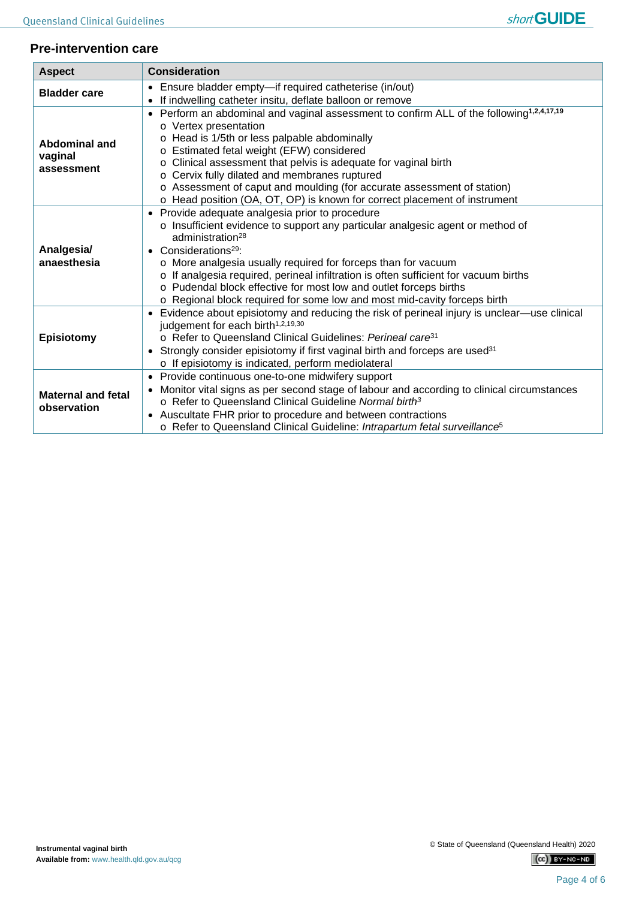### **Pre-intervention care**

| <b>Aspect</b>                            | <b>Consideration</b>                                                                                                                                                                                                                                                                                                                                                                                                                                                                                                                                                                       |  |
|------------------------------------------|--------------------------------------------------------------------------------------------------------------------------------------------------------------------------------------------------------------------------------------------------------------------------------------------------------------------------------------------------------------------------------------------------------------------------------------------------------------------------------------------------------------------------------------------------------------------------------------------|--|
| <b>Bladder care</b>                      | Ensure bladder empty-if required catheterise (in/out)<br>$\bullet$                                                                                                                                                                                                                                                                                                                                                                                                                                                                                                                         |  |
| Abdominal and<br>vaginal<br>assessment   | If indwelling catheter insitu, deflate balloon or remove<br>$\bullet$<br>Perform an abdominal and vaginal assessment to confirm ALL of the following <sup>1,2,4,17,19</sup><br>$\bullet$<br>o Vertex presentation<br>o Head is 1/5th or less palpable abdominally<br>o Estimated fetal weight (EFW) considered<br>o Clinical assessment that pelvis is adequate for vaginal birth<br>o Cervix fully dilated and membranes ruptured<br>o Assessment of caput and moulding (for accurate assessment of station)<br>o Head position (OA, OT, OP) is known for correct placement of instrument |  |
| Analgesia/<br>anaesthesia                | Provide adequate analgesia prior to procedure<br>$\bullet$<br>o Insufficient evidence to support any particular analgesic agent or method of<br>administration <sup>28</sup><br>Considerations <sup>29</sup> :<br>$\bullet$<br>o More analgesia usually required for forceps than for vacuum<br>o If analgesia required, perineal infiltration is often sufficient for vacuum births<br>o Pudendal block effective for most low and outlet forceps births<br>o Regional block required for some low and most mid-cavity forceps birth                                                      |  |
| Episiotomy                               | Evidence about episiotomy and reducing the risk of perineal injury is unclear-use clinical<br>$\bullet$<br>judgement for each birth <sup>1,2,19,30</sup><br>o Refer to Queensland Clinical Guidelines: Perineal care <sup>31</sup><br>Strongly consider episiotomy if first vaginal birth and forceps are used <sup>31</sup><br>$\bullet$<br>o If episiotomy is indicated, perform mediolateral                                                                                                                                                                                            |  |
| <b>Maternal and fetal</b><br>observation | Provide continuous one-to-one midwifery support<br>$\bullet$<br>Monitor vital signs as per second stage of labour and according to clinical circumstances<br>$\bullet$<br>○ Refer to Queensland Clinical Guideline Normal birth <sup>3</sup><br>Auscultate FHR prior to procedure and between contractions<br>$\bullet$<br>o Refer to Queensland Clinical Guideline: Intrapartum fetal surveillance <sup>5</sup>                                                                                                                                                                           |  |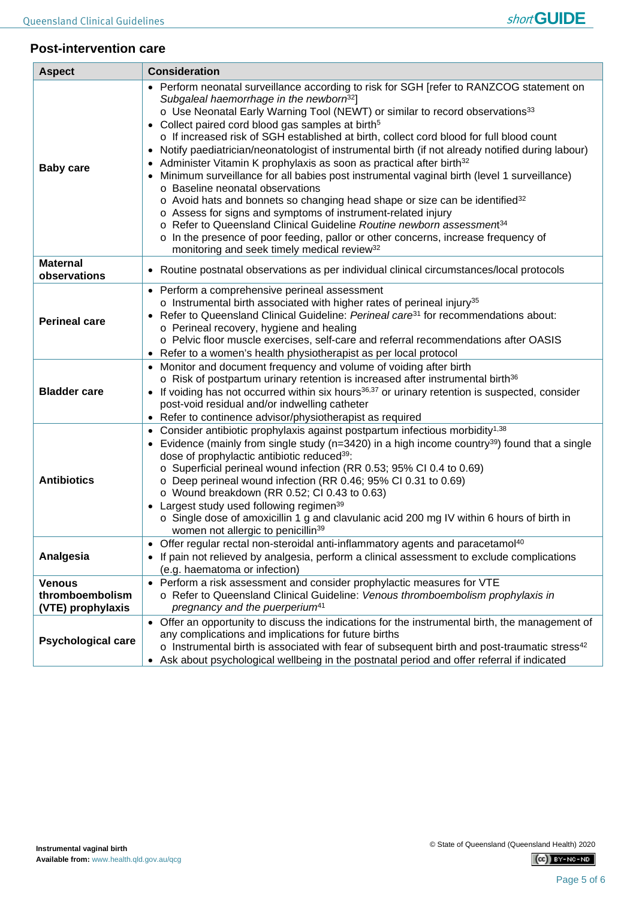

#### **Post-intervention care**

| <b>Aspect</b>                                         | <b>Consideration</b>                                                                                                                                                                                                                                                                                                                                                                                                                                                                                                                                                                                                                                                                                                                                                                                                                                                                                                                                                                                                                                                                                                                 |
|-------------------------------------------------------|--------------------------------------------------------------------------------------------------------------------------------------------------------------------------------------------------------------------------------------------------------------------------------------------------------------------------------------------------------------------------------------------------------------------------------------------------------------------------------------------------------------------------------------------------------------------------------------------------------------------------------------------------------------------------------------------------------------------------------------------------------------------------------------------------------------------------------------------------------------------------------------------------------------------------------------------------------------------------------------------------------------------------------------------------------------------------------------------------------------------------------------|
| <b>Baby care</b>                                      | Perform neonatal surveillance according to risk for SGH [refer to RANZCOG statement on<br>Subgaleal haemorrhage in the newborn <sup>32</sup> ]<br>o Use Neonatal Early Warning Tool (NEWT) or similar to record observations <sup>33</sup><br>Collect paired cord blood gas samples at birth <sup>5</sup><br>o If increased risk of SGH established at birth, collect cord blood for full blood count<br>Notify paediatrician/neonatologist of instrumental birth (if not already notified during labour)<br>٠<br>Administer Vitamin K prophylaxis as soon as practical after birth <sup>32</sup><br>Minimum surveillance for all babies post instrumental vaginal birth (level 1 surveillance)<br>o Baseline neonatal observations<br>o Avoid hats and bonnets so changing head shape or size can be identified <sup>32</sup><br>o Assess for signs and symptoms of instrument-related injury<br>o Refer to Queensland Clinical Guideline Routine newborn assessment <sup>34</sup><br>o In the presence of poor feeding, pallor or other concerns, increase frequency of<br>monitoring and seek timely medical review <sup>32</sup> |
| <b>Maternal</b><br>observations                       | Routine postnatal observations as per individual clinical circumstances/local protocols<br>$\bullet$                                                                                                                                                                                                                                                                                                                                                                                                                                                                                                                                                                                                                                                                                                                                                                                                                                                                                                                                                                                                                                 |
| <b>Perineal care</b>                                  | • Perform a comprehensive perineal assessment<br>o Instrumental birth associated with higher rates of perineal injury <sup>35</sup><br>Refer to Queensland Clinical Guideline: Perineal care <sup>31</sup> for recommendations about:<br>$\bullet$<br>o Perineal recovery, hygiene and healing<br>o Pelvic floor muscle exercises, self-care and referral recommendations after OASIS<br>Refer to a women's health physiotherapist as per local protocol                                                                                                                                                                                                                                                                                                                                                                                                                                                                                                                                                                                                                                                                             |
| <b>Bladder care</b>                                   | Monitor and document frequency and volume of voiding after birth<br>o Risk of postpartum urinary retention is increased after instrumental birth <sup>36</sup><br>If voiding has not occurred within six hours <sup>36,37</sup> or urinary retention is suspected, consider<br>$\bullet$<br>post-void residual and/or indwelling catheter<br>Refer to continence advisor/physiotherapist as required                                                                                                                                                                                                                                                                                                                                                                                                                                                                                                                                                                                                                                                                                                                                 |
| <b>Antibiotics</b>                                    | Consider antibiotic prophylaxis against postpartum infectious morbidity <sup>1,38</sup><br>٠<br>Evidence (mainly from single study ( $n=3420$ ) in a high income country <sup>39</sup> ) found that a single<br>$\bullet$<br>dose of prophylactic antibiotic reduced <sup>39</sup> :<br>o Superficial perineal wound infection (RR 0.53; 95% CI 0.4 to 0.69)<br>o Deep perineal wound infection (RR 0.46; 95% CI 0.31 to 0.69)<br>$\circ$ Wound breakdown (RR 0.52; CI 0.43 to 0.63)<br>Largest study used following regimen <sup>39</sup><br>o Single dose of amoxicillin 1 g and clavulanic acid 200 mg IV within 6 hours of birth in<br>women not allergic to penicillin <sup>39</sup>                                                                                                                                                                                                                                                                                                                                                                                                                                            |
| Analgesia                                             | • Offer regular rectal non-steroidal anti-inflammatory agents and paracetamol <sup>40</sup><br>If pain not relieved by analgesia, perform a clinical assessment to exclude complications<br>(e.g. haematoma or infection)                                                                                                                                                                                                                                                                                                                                                                                                                                                                                                                                                                                                                                                                                                                                                                                                                                                                                                            |
| <b>Venous</b><br>thromboembolism<br>(VTE) prophylaxis | • Perform a risk assessment and consider prophylactic measures for VTE<br>o Refer to Queensland Clinical Guideline: Venous thromboembolism prophylaxis in<br>pregnancy and the puerperium <sup>41</sup>                                                                                                                                                                                                                                                                                                                                                                                                                                                                                                                                                                                                                                                                                                                                                                                                                                                                                                                              |
| <b>Psychological care</b>                             | Offer an opportunity to discuss the indications for the instrumental birth, the management of<br>$\bullet$<br>any complications and implications for future births<br>$\circ$ Instrumental birth is associated with fear of subsequent birth and post-traumatic stress <sup>42</sup><br>Ask about psychological wellbeing in the postnatal period and offer referral if indicated<br>$\bullet$                                                                                                                                                                                                                                                                                                                                                                                                                                                                                                                                                                                                                                                                                                                                       |

 $(Cc)$  BY-NC-ND